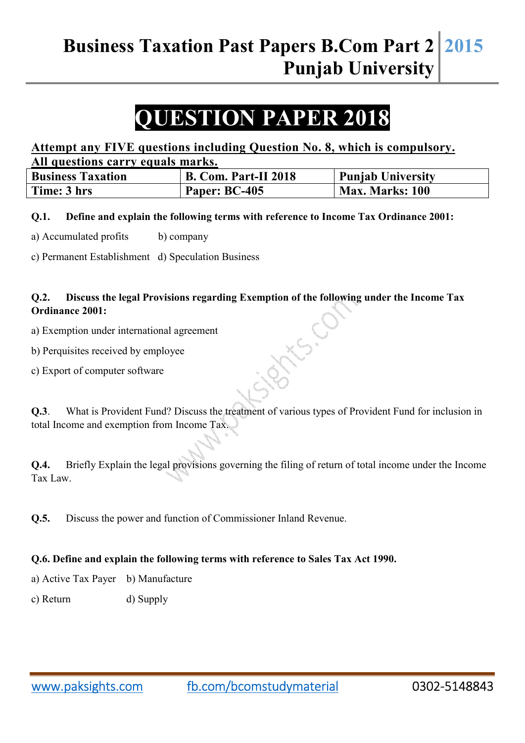# **QUESTION PAPER 2018**

## **Attempt any FIVE questions including Question No. 8, which is compulsory. All questions carry equals marks.**

| <b>Business Taxation</b> | <b>B. Com. Part-II 2018</b> | <b>Punjab University</b> |
|--------------------------|-----------------------------|--------------------------|
| Time: 3 hrs              | Paper: BC-405               | <b>Max. Marks: 100</b>   |

**Q.1. Define and explain the following terms with reference to Income Tax Ordinance 2001:** 

a) Accumulated profits b) company

c) Permanent Establishment d) Speculation Business

### **Q.2. Discuss the legal Provisions regarding Exemption of the following under the Income Tax Ordinance 2001:**

- a) Exemption under international agreement
- b) Perquisites received by employee
- c) Export of computer software

**Q.3**. What is Provident Fund? Discuss the treatment of various types of Provident Fund for inclusion in total Income and exemption from Income Tax.

**Q.4.** Briefly Explain the legal provisions governing the filing of return of total income under the Income Tax Law.

**Q.5.** Discuss the power and function of Commissioner Inland Revenue.

#### **Q.6. Define and explain the following terms with reference to Sales Tax Act 1990.**

a) Active Tax Payer b) Manufacture

c) Return d) Supply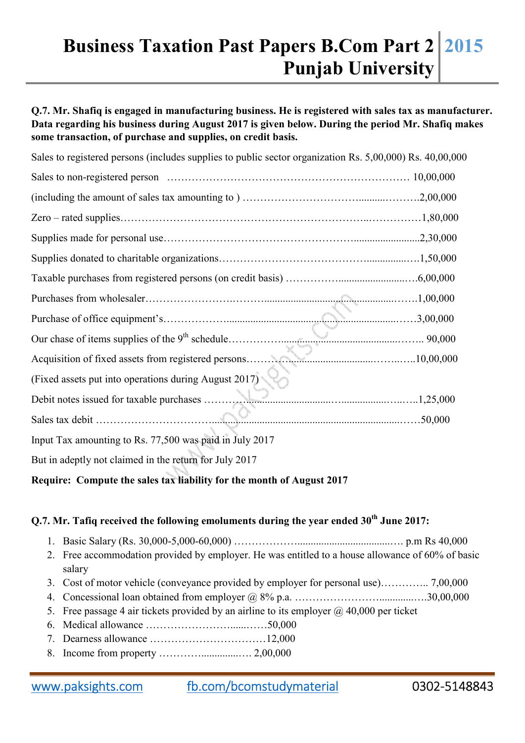## **Business Taxation Past Papers B.Com Part 2 Punjab University 2015**

**Q.7. Mr. Shafiq is engaged in manufacturing business. He is registered with sales tax as manufacturer. Data regarding his business during August 2017 is given below. During the period Mr. Shafiq makes some transaction, of purchase and supplies, on credit basis.** 

| Sales to registered persons (includes supplies to public sector organization Rs. 5,00,000) Rs. 40,00,000 |  |  |  |  |
|----------------------------------------------------------------------------------------------------------|--|--|--|--|
|                                                                                                          |  |  |  |  |
|                                                                                                          |  |  |  |  |
|                                                                                                          |  |  |  |  |
|                                                                                                          |  |  |  |  |
|                                                                                                          |  |  |  |  |
|                                                                                                          |  |  |  |  |
|                                                                                                          |  |  |  |  |
|                                                                                                          |  |  |  |  |
|                                                                                                          |  |  |  |  |
|                                                                                                          |  |  |  |  |
| (Fixed assets put into operations during August 2017)                                                    |  |  |  |  |
|                                                                                                          |  |  |  |  |
|                                                                                                          |  |  |  |  |
| Input Tax amounting to Rs. 77,500 was paid in July 2017                                                  |  |  |  |  |
| But in adeptly not claimed in the return for July 2017                                                   |  |  |  |  |

## **Require: Compute the sales tax liability for the month of August 2017**

## **Q.7. Mr. Tafiq received the following emoluments during the year ended 30th June 2017:**

- 1. Basic Salary (Rs. 30,000-5,000-60,000) ………………...................................…. p.m Rs 40,000
- 2. Free accommodation provided by employer. He was entitled to a house allowance of 60% of basic salary
- 3. Cost of motor vehicle (conveyance provided by employer for personal use)………….. 7,00,000
- 4. Concessional loan obtained from employer  $(a)$  8% p.a.  $\dots$  .  $\dots$  .  $\dots$  .  $\dots$  .  $\dots$  .  $\dots$  .  $30,00,000$
- 5. Free passage 4 air tickets provided by an airline to its employer  $\omega$  40,000 per ticket
- 6. Medical allowance ……………………......……50,000
- 7. Dearness allowance ……………………………12,000
- 8. Income from property …………..............…. 2,00,000